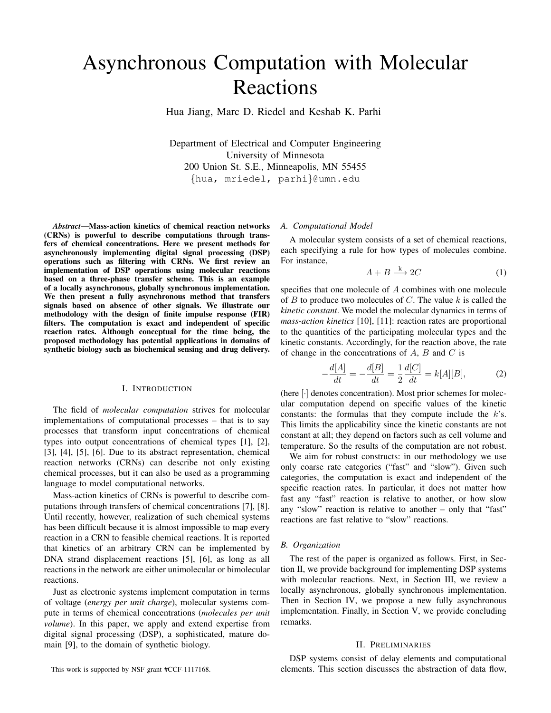# Asynchronous Computation with Molecular Reactions

Hua Jiang, Marc D. Riedel and Keshab K. Parhi

Department of Electrical and Computer Engineering University of Minnesota 200 Union St. S.E., Minneapolis, MN 55455 {hua, mriedel, parhi}@umn.edu

*Abstract*—Mass-action kinetics of chemical reaction networks (CRNs) is powerful to describe computations through transfers of chemical concentrations. Here we present methods for asynchronously implementing digital signal processing (DSP) operations such as filtering with CRNs. We first review an implementation of DSP operations using molecular reactions based on a three-phase transfer scheme. This is an example of a locally asynchronous, globally synchronous implementation. We then present a fully asynchronous method that transfers signals based on absence of other signals. We illustrate our methodology with the design of finite impulse response (FIR) filters. The computation is exact and independent of specific reaction rates. Although conceptual for the time being, the proposed methodology has potential applications in domains of synthetic biology such as biochemical sensing and drug delivery.

## I. INTRODUCTION

The field of *molecular computation* strives for molecular implementations of computational processes – that is to say processes that transform input concentrations of chemical types into output concentrations of chemical types [1], [2], [3], [4], [5], [6]. Due to its abstract representation, chemical reaction networks (CRNs) can describe not only existing chemical processes, but it can also be used as a programming language to model computational networks.

Mass-action kinetics of CRNs is powerful to describe computations through transfers of chemical concentrations [7], [8]. Until recently, however, realization of such chemical systems has been difficult because it is almost impossible to map every reaction in a CRN to feasible chemical reactions. It is reported that kinetics of an arbitrary CRN can be implemented by DNA strand displacement reactions [5], [6], as long as all reactions in the network are either unimolecular or bimolecular reactions.

Just as electronic systems implement computation in terms of voltage (*energy per unit charge*), molecular systems compute in terms of chemical concentrations (*molecules per unit volume*). In this paper, we apply and extend expertise from digital signal processing (DSP), a sophisticated, mature domain [9], to the domain of synthetic biology.

#### *A. Computational Model*

A molecular system consists of a set of chemical reactions, each specifying a rule for how types of molecules combine. For instance,

$$
A + B \xrightarrow{k} 2C \tag{1}
$$

specifies that one molecule of A combines with one molecule of  $B$  to produce two molecules of  $C$ . The value  $k$  is called the *kinetic constant*. We model the molecular dynamics in terms of *mass-action kinetics* [10], [11]: reaction rates are proportional to the quantities of the participating molecular types and the kinetic constants. Accordingly, for the reaction above, the rate of change in the concentrations of  $A$ ,  $B$  and  $C$  is

$$
-\frac{d[A]}{dt} = -\frac{d[B]}{dt} = \frac{1}{2}\frac{d[C]}{dt} = k[A][B],\tag{2}
$$

(here [·] denotes concentration). Most prior schemes for molecular computation depend on specific values of the kinetic constants: the formulas that they compute include the  $k$ 's. This limits the applicability since the kinetic constants are not constant at all; they depend on factors such as cell volume and temperature. So the results of the computation are not robust.

We aim for robust constructs: in our methodology we use only coarse rate categories ("fast" and "slow"). Given such categories, the computation is exact and independent of the specific reaction rates. In particular, it does not matter how fast any "fast" reaction is relative to another, or how slow any "slow" reaction is relative to another – only that "fast" reactions are fast relative to "slow" reactions.

# *B. Organization*

The rest of the paper is organized as follows. First, in Section II, we provide background for implementing DSP systems with molecular reactions. Next, in Section III, we review a locally asynchronous, globally synchronous implementation. Then in Section IV, we propose a new fully asynchronous implementation. Finally, in Section V, we provide concluding remarks.

## II. PRELIMINARIES

DSP systems consist of delay elements and computational elements. This section discusses the abstraction of data flow,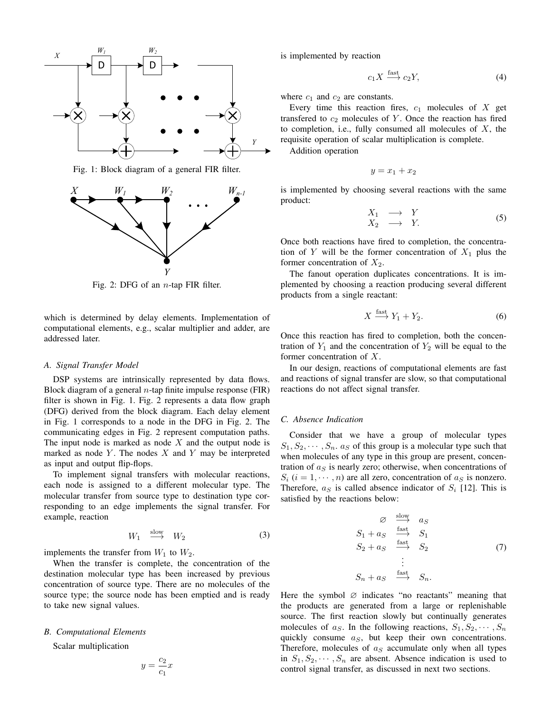

Fig. 1: Block diagram of a general FIR filter.



Fig. 2: DFG of an  $n$ -tap FIR filter.

which is determined by delay elements. Implementation of computational elements, e.g., scalar multiplier and adder, are addressed later.

## *A. Signal Transfer Model*

DSP systems are intrinsically represented by data flows. Block diagram of a general  $n$ -tap finite impulse response (FIR) filter is shown in Fig. 1. Fig. 2 represents a data flow graph (DFG) derived from the block diagram. Each delay element in Fig. 1 corresponds to a node in the DFG in Fig. 2. The communicating edges in Fig. 2 represent computation paths. The input node is marked as node  $X$  and the output node is marked as node Y. The nodes  $X$  and Y may be interpreted as input and output flip-flops.

To implement signal transfers with molecular reactions, each node is assigned to a different molecular type. The molecular transfer from source type to destination type corresponding to an edge implements the signal transfer. For example, reaction

$$
W_1 \stackrel{\text{slow}}{\longrightarrow} W_2 \tag{3}
$$

implements the transfer from  $W_1$  to  $W_2$ .

When the transfer is complete, the concentration of the destination molecular type has been increased by previous concentration of source type. There are no molecules of the source type; the source node has been emptied and is ready to take new signal values.

# *B. Computational Elements*

Scalar multiplication

$$
y = \frac{c_2}{c_1}x
$$

is implemented by reaction

$$
c_1 X \stackrel{\text{fast}}{\longrightarrow} c_2 Y,\tag{4}
$$

where  $c_1$  and  $c_2$  are constants.

Every time this reaction fires,  $c_1$  molecules of  $X$  get transfered to  $c_2$  molecules of Y. Once the reaction has fired to completion, i.e., fully consumed all molecules of  $X$ , the requisite operation of scalar multiplication is complete. Addition operation

$$
y = x_1 + x_2
$$

is implemented by choosing several reactions with the same product:

$$
\begin{array}{ccc}\nX_1 & \longrightarrow & Y \\
X_2 & \longrightarrow & Y.\n\end{array} \tag{5}
$$

Once both reactions have fired to completion, the concentration of Y will be the former concentration of  $X_1$  plus the former concentration of  $X_2$ .

The fanout operation duplicates concentrations. It is implemented by choosing a reaction producing several different products from a single reactant:

$$
X \xrightarrow{\text{fast}} Y_1 + Y_2. \tag{6}
$$

Once this reaction has fired to completion, both the concentration of  $Y_1$  and the concentration of  $Y_2$  will be equal to the former concentration of X.

In our design, reactions of computational elements are fast and reactions of signal transfer are slow, so that computational reactions do not affect signal transfer.

# *C. Absence Indication*

Consider that we have a group of molecular types  $S_1, S_2, \dots, S_n$ .  $a_S$  of this group is a molecular type such that when molecules of any type in this group are present, concentration of  $a<sub>S</sub>$  is nearly zero; otherwise, when concentrations of  $S_i$  (i = 1,  $\cdots$ , n) are all zero, concentration of  $a_S$  is nonzero. Therefore,  $a<sub>S</sub>$  is called absence indicator of  $S<sub>i</sub>$  [12]. This is satisfied by the reactions below:

$$
\begin{array}{ccc}\n\varnothing & \xrightarrow{\text{slow}} & a_S \\
S_1 + a_S & \xrightarrow{\text{fast}} & S_1 \\
S_2 + a_S & \xrightarrow{\text{fast}} & S_2 \\
\vdots & & & \\
S_n + a_S & \xrightarrow{\text{fast}} & S_n.\n\end{array} \tag{7}
$$

Here the symbol  $\varnothing$  indicates "no reactants" meaning that the products are generated from a large or replenishable source. The first reaction slowly but continually generates molecules of  $a_S$ . In the following reactions,  $S_1, S_2, \cdots, S_n$ quickly consume  $a_S$ , but keep their own concentrations. Therefore, molecules of  $a<sub>S</sub>$  accumulate only when all types in  $S_1, S_2, \dots, S_n$  are absent. Absence indication is used to control signal transfer, as discussed in next two sections.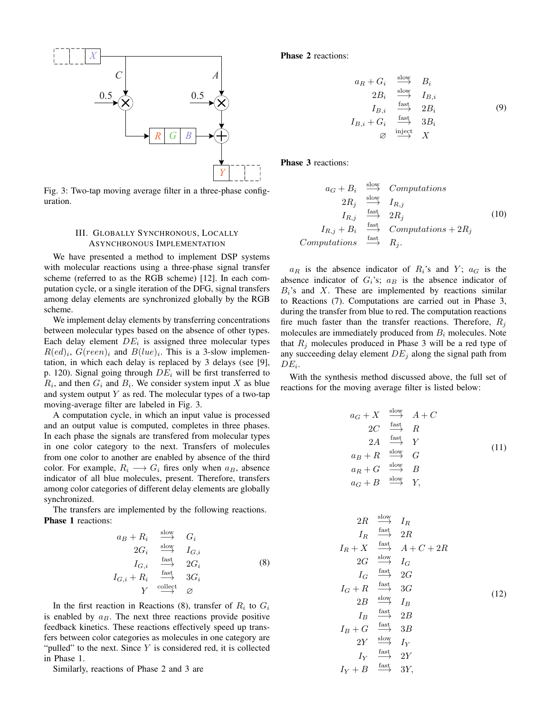

Fig. 3: Two-tap moving average filter in a three-phase configuration.

# III. GLOBALLY SYNCHRONOUS, LOCALLY ASYNCHRONOUS IMPLEMENTATION

We have presented a method to implement DSP systems with molecular reactions using a three-phase signal transfer scheme (referred to as the RGB scheme) [12]. In each computation cycle, or a single iteration of the DFG, signal transfers among delay elements are synchronized globally by the RGB scheme.

We implement delay elements by transferring concentrations between molecular types based on the absence of other types. Each delay element  $DE_i$  is assigned three molecular types  $R(ed)_i$ ,  $G(reen)_i$  and  $B(lue)_i$ . This is a 3-slow implementation, in which each delay is replaced by 3 delays (see [9], p. 120). Signal going through  $DE<sub>i</sub>$  will be first transferred to  $R_i$ , and then  $G_i$  and  $B_i$ . We consider system input X as blue and system output  $Y$  as red. The molecular types of a two-tap moving-average filter are labeled in Fig. 3.

A computation cycle, in which an input value is processed and an output value is computed, completes in three phases. In each phase the signals are transfered from molecular types in one color category to the next. Transfers of molecules from one color to another are enabled by absence of the third color. For example,  $R_i \longrightarrow G_i$  fires only when  $a_B$ , absence indicator of all blue molecules, present. Therefore, transfers among color categories of different delay elements are globally synchronized.

The transfers are implemented by the following reactions. Phase 1 reactions:

$$
a_B + R_i \xrightarrow{\text{slow}} G_i
$$
  
\n
$$
2G_i \xrightarrow{\text{slow}} I_{G,i}
$$
  
\n
$$
I_{G,i} \xrightarrow{\text{fast}} 2G_i
$$
  
\n
$$
I_{G,i} + R_i \xrightarrow{\text{fast}} 3G_i
$$
  
\n
$$
Y \xrightarrow{\text{collect}} \varnothing
$$
 (8)

In the first reaction in Reactions (8), transfer of  $R_i$  to  $G_i$ is enabled by  $a_B$ . The next three reactions provide positive feedback kinetics. These reactions effectively speed up transfers between color categories as molecules in one category are "pulled" to the next. Since  $Y$  is considered red, it is collected in Phase 1.

Similarly, reactions of Phase 2 and 3 are

Phase 2 reactions:

$$
a_R + G_i \xrightarrow{\text{slow}} B_i
$$
  
\n
$$
2B_i \xrightarrow{\text{slow}} I_{B,i}
$$
  
\n
$$
I_{B,i} \xrightarrow{\text{fast}} 2B_i
$$
  
\n
$$
I_{B,i} + G_i \xrightarrow{\text{fast}} 3B_i
$$
  
\n
$$
\varnothing \xrightarrow{\text{inject}} X
$$
  
\n(9)

Phase 3 reactions:

$$
a_G + B_i \xrightarrow{\text{slow}} \text{Computations}
$$
  
\n
$$
2R_j \xrightarrow{\text{slow}} I_{R,j}
$$
  
\n
$$
I_{R,j} \xrightarrow{\text{fast}} 2R_j
$$
  
\n
$$
I_{R,j} + B_i \xrightarrow{\text{fast}} \text{Computations} + 2R_j
$$
  
\nComputations 
$$
\xrightarrow{\text{fast}} R_j.
$$
 (10)

 $a_R$  is the absence indicator of  $R_i$ 's and Y;  $a_G$  is the absence indicator of  $G_i$ 's;  $a_B$  is the absence indicator of  $B_i$ 's and X. These are implemented by reactions similar to Reactions (7). Computations are carried out in Phase 3, during the transfer from blue to red. The computation reactions fire much faster than the transfer reactions. Therefore,  $R_i$ molecules are immediately produced from  $B_i$  molecules. Note that  $R_i$  molecules produced in Phase 3 will be a red type of any succeeding delay element  $DE_i$  along the signal path from  $DE_i$ .

With the synthesis method discussed above, the full set of reactions for the moving average filter is listed below:

$$
a_G + X \xrightarrow{\text{slow}} A + C
$$
  
\n
$$
2C \xrightarrow{\text{fast}} R
$$
  
\n
$$
2A \xrightarrow{\text{fast}} Y
$$
  
\n
$$
a_B + R \xrightarrow{\text{slow}} G
$$
  
\n
$$
a_R + G \xrightarrow{\text{slow}} B
$$
  
\n
$$
a_G + B \xrightarrow{\text{slow}} Y,
$$
\n(11)

$$
2R \xrightarrow{\text{slow}} I_R
$$
\n
$$
I_R \xrightarrow{\text{fast}} 2R
$$
\n
$$
I_R + X \xrightarrow{\text{fast}} A + C + 2R
$$
\n
$$
2G \xrightarrow{\text{slow}} I_G
$$
\n
$$
I_G \xrightarrow{\text{fast}} 2G
$$
\n
$$
I_G + R \xrightarrow{\text{fast}} 3G
$$
\n
$$
2B \xrightarrow{\text{slow}} I_B
$$
\n
$$
I_B \xrightarrow{\text{fast}} 2B
$$
\n
$$
I_B + G \xrightarrow{\text{fast}} 3B
$$
\n
$$
2Y \xrightarrow{\text{slow}} I_Y
$$
\n
$$
I_Y \xrightarrow{\text{fast}} 2Y
$$
\n
$$
I_Y + B \xrightarrow{\text{fast}} 3Y,
$$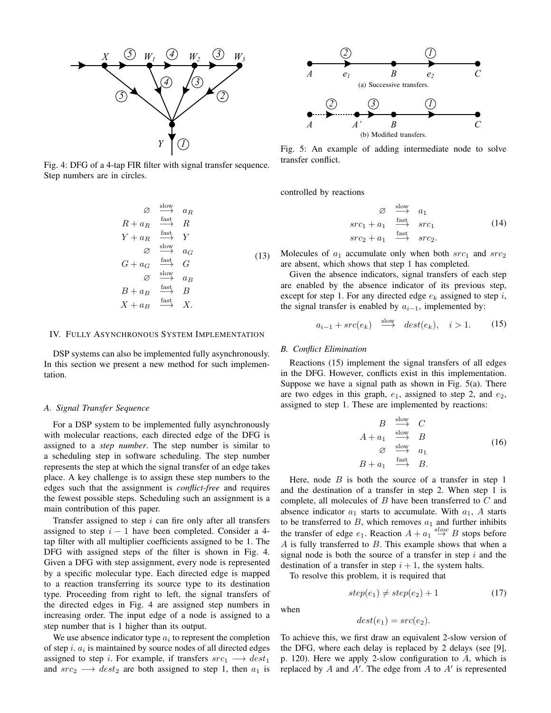

Fig. 4: DFG of a 4-tap FIR filter with signal transfer sequence. Step numbers are in circles.

$$
\begin{array}{ccc}\n\varnothing & \xrightarrow{\text{slow}} & a_R \\
R + a_R & \xrightarrow{\text{fast}} & R \\
Y + a_R & \xrightarrow{\text{fast}} & Y \\
\varnothing & \xrightarrow{\text{slow}} & a_G \\
G + a_G & \xrightarrow{\text{fast}} & G \\
\varnothing & \xrightarrow{\text{slow}} & a_B \\
B + a_B & \xrightarrow{\text{fast}} & B \\
X + a_B & \xrightarrow{\text{fast}} & X.\n\end{array}
$$
\n(13)

### IV. FULLY ASYNCHRONOUS SYSTEM IMPLEMENTATION

DSP systems can also be implemented fully asynchronously. In this section we present a new method for such implementation.

### *A. Signal Transfer Sequence*

For a DSP system to be implemented fully asynchronously with molecular reactions, each directed edge of the DFG is assigned to a *step number*. The step number is similar to a scheduling step in software scheduling. The step number represents the step at which the signal transfer of an edge takes place. A key challenge is to assign these step numbers to the edges such that the assignment is *conflict-free* and requires the fewest possible steps. Scheduling such an assignment is a main contribution of this paper.

Transfer assigned to step  $i$  can fire only after all transfers assigned to step  $i - 1$  have been completed. Consider a 4tap filter with all multiplier coefficients assigned to be 1. The DFG with assigned steps of the filter is shown in Fig. 4. Given a DFG with step assignment, every node is represented by a specific molecular type. Each directed edge is mapped to a reaction transferring its source type to its destination type. Proceeding from right to left, the signal transfers of the directed edges in Fig. 4 are assigned step numbers in increasing order. The input edge of a node is assigned to a step number that is 1 higher than its output.

We use absence indicator type  $a_i$  to represent the completion of step  $i$ .  $a_i$  is maintained by source nodes of all directed edges assigned to step i. For example, if transfers  $src_1 \longrightarrow dest_1$ and  $src_2 \longrightarrow dest_2$  are both assigned to step 1, then  $a_1$  is



Fig. 5: An example of adding intermediate node to solve transfer conflict.

controlled by reactions

$$
\begin{array}{ccc}\n\varnothing & \xrightarrow{\text{slow}} & a_1 \\
\operatorname{src}_1 + a_1 & \xrightarrow{\text{fast}} & \operatorname{src}_1 \\
\operatorname{src}_2 + a_1 & \xrightarrow{\text{fast}} & \operatorname{src}_2.\n\end{array} \tag{14}
$$

Molecules of  $a_1$  accumulate only when both  $src_1$  and  $src_2$ are absent, which shows that step 1 has completed.

Given the absence indicators, signal transfers of each step are enabled by the absence indicator of its previous step, except for step 1. For any directed edge  $e_k$  assigned to step i, the signal transfer is enabled by  $a_{i-1}$ , implemented by:

$$
a_{i-1} + src(e_k) \stackrel{\text{slow}}{\longrightarrow} dest(e_k), \quad i > 1. \tag{15}
$$

#### *B. Conflict Elimination*

Reactions (15) implement the signal transfers of all edges in the DFG. However, conflicts exist in this implementation. Suppose we have a signal path as shown in Fig. 5(a). There are two edges in this graph,  $e_1$ , assigned to step 2, and  $e_2$ , assigned to step 1. These are implemented by reactions:

$$
B \xrightarrow{\text{slow}} C
$$
  
\n
$$
A + a_1 \xrightarrow{\text{slow}} B
$$
  
\n
$$
\varnothing \xrightarrow{\text{slow}} a_1
$$
  
\n
$$
B + a_1 \xrightarrow{\text{fast}} B.
$$
  
\n(16)

Here, node  $B$  is both the source of a transfer in step 1 and the destination of a transfer in step 2. When step 1 is complete, all molecules of B have been transferred to C and absence indicator  $a_1$  starts to accumulate. With  $a_1$ , A starts to be transferred to  $B$ , which removes  $a_1$  and further inhibits the transfer of edge  $e_1$ . Reaction  $A + a_1 \stackrel{slow}{\rightarrow} B$  stops before  $A$  is fully transferred to  $B$ . This example shows that when a signal node is both the source of a transfer in step  $i$  and the destination of a transfer in step  $i + 1$ , the system halts.

To resolve this problem, it is required that

$$
step(e_1) \neq step(e_2) + 1 \tag{17}
$$

when

$$
dest(e_1) = src(e_2).
$$

To achieve this, we first draw an equivalent 2-slow version of the DFG, where each delay is replaced by 2 delays (see [9], p. 120). Here we apply 2-slow configuration to A, which is replaced by  $A$  and  $A'$ . The edge from  $A$  to  $A'$  is represented